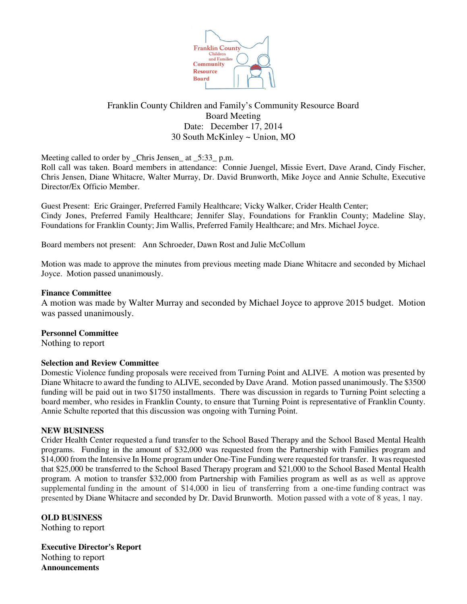

# Franklin County Children and Family's Community Resource Board Board Meeting Date: December 17, 2014 30 South McKinley ~ Union, MO

Meeting called to order by \_Chris Jensen\_ at \_5:33\_ p.m.

Roll call was taken. Board members in attendance: Connie Juengel, Missie Evert, Dave Arand, Cindy Fischer, Chris Jensen, Diane Whitacre, Walter Murray, Dr. David Brunworth, Mike Joyce and Annie Schulte, Executive Director/Ex Officio Member.

Guest Present: Eric Grainger, Preferred Family Healthcare; Vicky Walker, Crider Health Center; Cindy Jones, Preferred Family Healthcare; Jennifer Slay, Foundations for Franklin County; Madeline Slay, Foundations for Franklin County; Jim Wallis, Preferred Family Healthcare; and Mrs. Michael Joyce.

Board members not present: Ann Schroeder, Dawn Rost and Julie McCollum

Motion was made to approve the minutes from previous meeting made Diane Whitacre and seconded by Michael Joyce. Motion passed unanimously.

#### **Finance Committee**

A motion was made by Walter Murray and seconded by Michael Joyce to approve 2015 budget. Motion was passed unanimously.

## **Personnel Committee**

Nothing to report

## **Selection and Review Committee**

Domestic Violence funding proposals were received from Turning Point and ALIVE. A motion was presented by Diane Whitacre to award the funding to ALIVE, seconded by Dave Arand. Motion passed unanimously. The \$3500 funding will be paid out in two \$1750 installments. There was discussion in regards to Turning Point selecting a board member, who resides in Franklin County, to ensure that Turning Point is representative of Franklin County. Annie Schulte reported that this discussion was ongoing with Turning Point.

#### **NEW BUSINESS**

Crider Health Center requested a fund transfer to the School Based Therapy and the School Based Mental Health programs. Funding in the amount of \$32,000 was requested from the Partnership with Families program and \$14,000 from the Intensive In Home program under One-Tine Funding were requested for transfer. It was requested that \$25,000 be transferred to the School Based Therapy program and \$21,000 to the School Based Mental Health program. A motion to transfer \$32,000 from Partnership with Families program as well as as well as approve supplemental funding in the amount of \$14,000 in lieu of transferring from a one-time funding contract was presented by Diane Whitacre and seconded by Dr. David Brunworth. Motion passed with a vote of 8 yeas, 1 nay.

## **OLD BUSINESS**

Nothing to report

**Executive Director's Report** Nothing to report **Announcements**